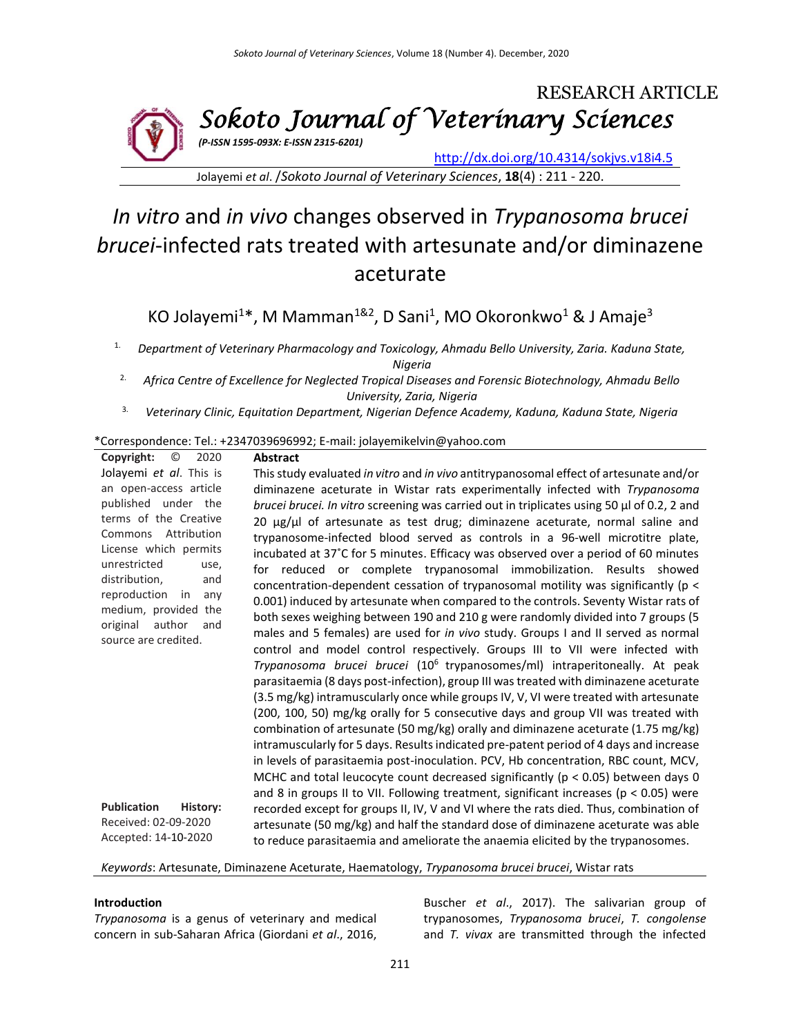

Jolayemi *et al*. /*Sokoto Journal of Veterinary Sciences*, **18**(4) : 211 - 220.

# *In vitro* and *in vivo* changes observed in *Trypanosoma brucei brucei*-infected rats treated with artesunate and/or diminazene aceturate

KO Jolayemi<sup>1\*</sup>, M Mamman<sup>1&2</sup>, D Sani<sup>1</sup>, MO Okoronkwo<sup>1</sup> & J Amaje<sup>3</sup>

1. *Department of Veterinary Pharmacology and Toxicology, Ahmadu Bello University, Zaria. Kaduna State, Nigeria*

2. *Africa Centre of Excellence for Neglected Tropical Diseases and Forensic Biotechnology, Ahmadu Bello University, Zaria, Nigeria*

3. *Veterinary Clinic, Equitation Department, Nigerian Defence Academy, Kaduna, Kaduna State, Nigeria*

## \*Correspondence: Tel.: +2347039696992; E-mail: jolayemikelvin@yahoo.com

| O<br>2020<br>Copyright:        | <b>Abstract</b>                                                                                 |
|--------------------------------|-------------------------------------------------------------------------------------------------|
| Jolayemi et al. This is        | This study evaluated in vitro and in vivo antitrypanosomal effect of artesunate and/or          |
| an open-access article         | diminazene aceturate in Wistar rats experimentally infected with Trypanosoma                    |
| published under the            | brucei brucei. In vitro screening was carried out in triplicates using 50 $\mu$ l of 0.2, 2 and |
| terms of the Creative          | 20 $\mu$ g/ $\mu$ l of artesunate as test drug; diminazene aceturate, normal saline and         |
| Commons Attribution            | trypanosome-infected blood served as controls in a 96-well microtitre plate,                    |
| License which permits          | incubated at 37°C for 5 minutes. Efficacy was observed over a period of 60 minutes              |
| unrestricted<br>use,           | for reduced or complete trypanosomal immobilization. Results showed                             |
| distribution,<br>and           | concentration-dependent cessation of trypanosomal motility was significantly (p <               |
| reproduction in<br>any         | 0.001) induced by artesunate when compared to the controls. Seventy Wistar rats of              |
| medium, provided the           | both sexes weighing between 190 and 210 g were randomly divided into 7 groups (5                |
| author<br>original<br>and      | males and 5 females) are used for in vivo study. Groups I and II served as normal               |
| source are credited.           | control and model control respectively. Groups III to VII were infected with                    |
|                                | Trypanosoma brucei brucei (10 <sup>6</sup> trypanosomes/ml) intraperitoneally. At peak          |
|                                | parasitaemia (8 days post-infection), group III was treated with diminazene aceturate           |
|                                | (3.5 mg/kg) intramuscularly once while groups IV, V, VI were treated with artesunate            |
|                                | (200, 100, 50) mg/kg orally for 5 consecutive days and group VII was treated with               |
|                                | combination of artesunate (50 mg/kg) orally and diminazene aceturate (1.75 mg/kg)               |
|                                | intramuscularly for 5 days. Results indicated pre-patent period of 4 days and increase          |
|                                | in levels of parasitaemia post-inoculation. PCV, Hb concentration, RBC count, MCV,              |
|                                | MCHC and total leucocyte count decreased significantly ( $p < 0.05$ ) between days 0            |
|                                | and 8 in groups II to VII. Following treatment, significant increases ( $p < 0.05$ ) were       |
| <b>Publication</b><br>History: | recorded except for groups II, IV, V and VI where the rats died. Thus, combination of           |
| Received: 02-09-2020           | artesunate (50 mg/kg) and half the standard dose of diminazene aceturate was able               |
| Accepted: 14-10-2020           | to reduce parasitaemia and ameliorate the anaemia elicited by the trypanosomes.                 |
|                                |                                                                                                 |

*Keywords*: Artesunate, Diminazene Aceturate, Haematology, *Trypanosoma brucei brucei*, Wistar rats

## **Introduction**

*Trypanosoma* is a genus of veterinary and medical concern in sub-Saharan Africa (Giordani *et al*., 2016,

Buscher *et al*., 2017). The salivarian group of trypanosomes, *Trypanosoma brucei*, *T. congolense*  and *T. vivax* are transmitted through the infected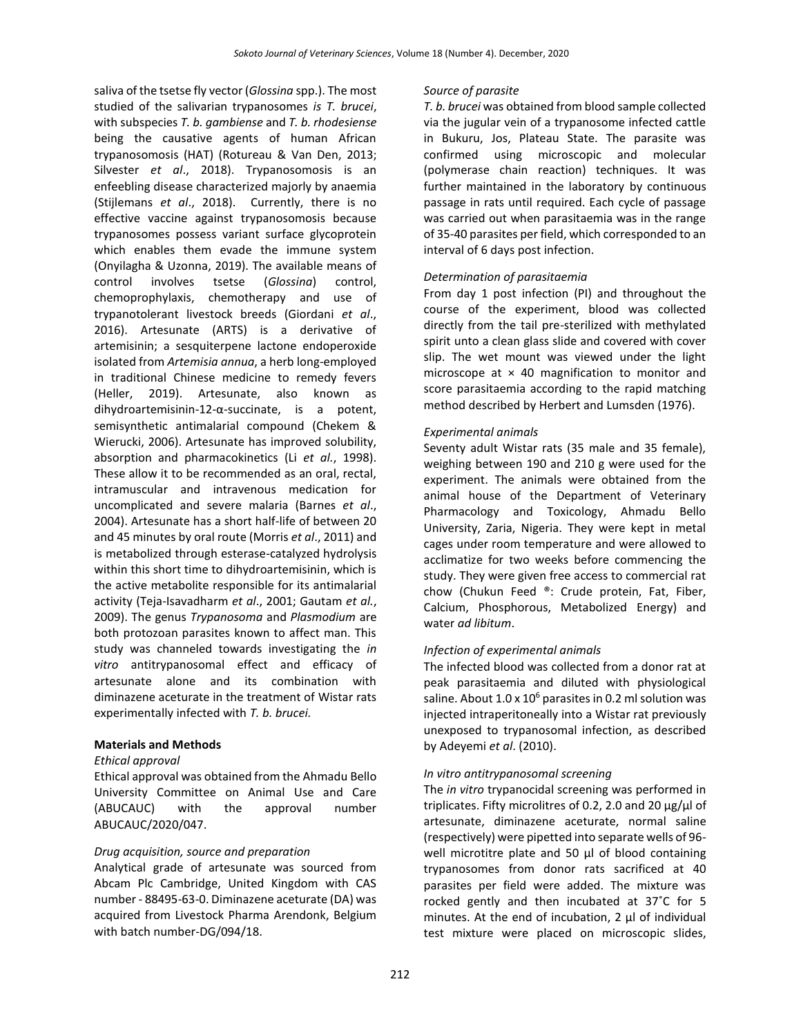saliva of the tsetse fly vector (*Glossina* spp.). The most studied of the salivarian trypanosomes *is T. brucei*, with subspecies *T. b. gambiense* and *T. b. rhodesiense*  being the causative agents of human African trypanosomosis (HAT) (Rotureau & Van Den, 2013; Silvester *et al*., 2018). Trypanosomosis is an enfeebling disease characterized majorly by anaemia (Stijlemans *et al*., 2018). Currently, there is no effective vaccine against trypanosomosis because trypanosomes possess variant surface glycoprotein which enables them evade the immune system (Onyilagha & Uzonna, 2019). The available means of control involves tsetse (*Glossina*) control, chemoprophylaxis, chemotherapy and use of trypanotolerant livestock breeds (Giordani *et al*., 2016). Artesunate (ARTS) is a derivative of artemisinin; a sesquiterpene lactone endoperoxide isolated from *Artemisia annua*, a herb long-employed in traditional Chinese medicine to remedy fevers (Heller, 2019). Artesunate, also known as dihydroartemisinin-12-α-succinate, is a potent, semisynthetic antimalarial compound (Chekem & Wierucki, 2006). Artesunate has improved solubility, absorption and pharmacokinetics (Li *et al.*, 1998). These allow it to be recommended as an oral, rectal, intramuscular and intravenous medication for uncomplicated and severe malaria (Barnes *et al*., 2004). Artesunate has a short half-life of between 20 and 45 minutes by oral route (Morris *et al*., 2011) and is metabolized through esterase-catalyzed hydrolysis within this short time to dihydroartemisinin, which is the active metabolite responsible for its antimalarial activity (Teja-Isavadharm *et al*., 2001; Gautam *et al.*, 2009). The genus *Trypanosoma* and *Plasmodium* are both protozoan parasites known to affect man. This study was channeled towards investigating the *in vitro* antitrypanosomal effect and efficacy of artesunate alone and its combination with diminazene aceturate in the treatment of Wistar rats experimentally infected with *T. b. brucei.*

## **Materials and Methods**

#### *Ethical approval*

Ethical approval was obtained from the Ahmadu Bello University Committee on Animal Use and Care (ABUCAUC) with the approval number ABUCAUC/2020/047.

#### *Drug acquisition, source and preparation*

Analytical grade of artesunate was sourced from Abcam Plc Cambridge, United Kingdom with CAS number - 88495-63-0. Diminazene aceturate (DA) was acquired from Livestock Pharma Arendonk, Belgium with batch number-DG/094/18.

### *Source of parasite*

*T. b. brucei* was obtained from blood sample collected via the jugular vein of a trypanosome infected cattle in Bukuru, Jos, Plateau State. The parasite was confirmed using microscopic and molecular (polymerase chain reaction) techniques. It was further maintained in the laboratory by continuous passage in rats until required. Each cycle of passage was carried out when parasitaemia was in the range of 35-40 parasites per field, which corresponded to an interval of 6 days post infection.

## *Determination of parasitaemia*

From day 1 post infection (PI) and throughout the course of the experiment, blood was collected directly from the tail pre-sterilized with methylated spirit unto a clean glass slide and covered with cover slip. The wet mount was viewed under the light microscope at  $\times$  40 magnification to monitor and score parasitaemia according to the rapid matching method described by Herbert and Lumsden (1976).

## *Experimental animals*

Seventy adult Wistar rats (35 male and 35 female), weighing between 190 and 210 g were used for the experiment. The animals were obtained from the animal house of the Department of Veterinary Pharmacology and Toxicology, Ahmadu Bello University, Zaria, Nigeria. They were kept in metal cages under room temperature and were allowed to acclimatize for two weeks before commencing the study. They were given free access to commercial rat chow (Chukun Feed ®: Crude protein, Fat, Fiber, Calcium, Phosphorous, Metabolized Energy) and water *ad libitum*.

## *Infection of experimental animals*

The infected blood was collected from a donor rat at peak parasitaemia and diluted with physiological saline. About  $1.0 \times 10^6$  parasites in 0.2 ml solution was injected intraperitoneally into a Wistar rat previously unexposed to trypanosomal infection, as described by Adeyemi *et al*. (2010).

#### *In vitro antitrypanosomal screening*

The *in vitro* trypanocidal screening was performed in triplicates. Fifty microlitres of 0.2, 2.0 and 20 μg/μl of artesunate, diminazene aceturate, normal saline (respectively) were pipetted into separate wells of 96 well microtitre plate and 50 μl of blood containing trypanosomes from donor rats sacrificed at 40 parasites per field were added. The mixture was rocked gently and then incubated at 37˚C for 5 minutes. At the end of incubation, 2 μl of individual test mixture were placed on microscopic slides,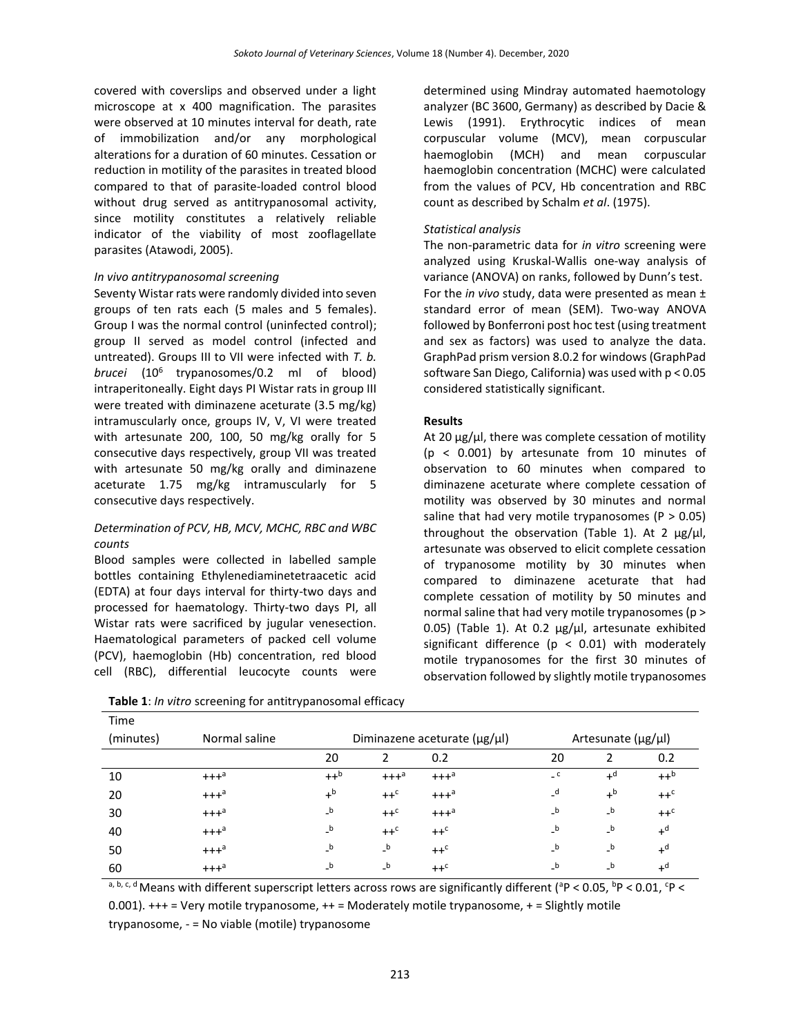covered with coverslips and observed under a light microscope at x 400 magnification. The parasites were observed at 10 minutes interval for death, rate of immobilization and/or any morphological alterations for a duration of 60 minutes. Cessation or reduction in motility of the parasites in treated blood compared to that of parasite-loaded control blood without drug served as antitrypanosomal activity, since motility constitutes a relatively reliable indicator of the viability of most zooflagellate parasites (Atawodi, 2005).

## *In vivo antitrypanosomal screening*

Seventy Wistar rats were randomly divided into seven groups of ten rats each (5 males and 5 females). Group I was the normal control (uninfected control); group II served as model control (infected and untreated). Groups III to VII were infected with *T. b. brucei* (10<sup>6</sup> trypanosomes/0.2 ml of blood) intraperitoneally. Eight days PI Wistar rats in group III were treated with diminazene aceturate (3.5 mg/kg) intramuscularly once, groups IV, V, VI were treated with artesunate 200, 100, 50 mg/kg orally for 5 consecutive days respectively, group VII was treated with artesunate 50 mg/kg orally and diminazene aceturate 1.75 mg/kg intramuscularly for 5 consecutive days respectively.

## *Determination of PCV, HB, MCV, MCHC, RBC and WBC counts*

Blood samples were collected in labelled sample bottles containing Ethylenediaminetetraacetic acid (EDTA) at four days interval for thirty-two days and processed for haematology. Thirty-two days PI, all Wistar rats were sacrificed by jugular venesection. Haematological parameters of packed cell volume (PCV), haemoglobin (Hb) concentration, red blood cell (RBC), differential leucocyte counts were

determined using Mindray automated haemotology analyzer (BC 3600, Germany) as described by Dacie & Lewis (1991). Erythrocytic indices of mean corpuscular volume (MCV), mean corpuscular haemoglobin (MCH) and mean corpuscular haemoglobin concentration (MCHC) were calculated from the values of PCV, Hb concentration and RBC count as described by Schalm *et al*. (1975).

## *Statistical analysis*

The non-parametric data for *in vitro* screening were analyzed using Kruskal-Wallis one-way analysis of variance (ANOVA) on ranks, followed by Dunn's test. For the *in vivo* study, data were presented as mean ± standard error of mean (SEM). Two-way ANOVA followed by Bonferroni post hoc test (using treatment and sex as factors) was used to analyze the data. GraphPad prism version 8.0.2 for windows (GraphPad software San Diego, California) was used with p < 0.05 considered statistically significant.

## **Results**

At 20  $\mu$ g/ $\mu$ l, there was complete cessation of motility (p < 0.001) by artesunate from 10 minutes of observation to 60 minutes when compared to diminazene aceturate where complete cessation of motility was observed by 30 minutes and normal saline that had very motile trypanosomes ( $P > 0.05$ ) throughout the observation (Table 1). At 2  $\mu$ g/ $\mu$ l, artesunate was observed to elicit complete cessation of trypanosome motility by 30 minutes when compared to diminazene aceturate that had complete cessation of motility by 50 minutes and normal saline that had very motile trypanosomes (p > 0.05) (Table 1). At 0.2  $\mu$ g/ $\mu$ l, artesunate exhibited significant difference ( $p < 0.01$ ) with moderately motile trypanosomes for the first 30 minutes of observation followed by slightly motile trypanosomes

| Time      |                    |                |                    |                                      |                            |         |                  |
|-----------|--------------------|----------------|--------------------|--------------------------------------|----------------------------|---------|------------------|
| (minutes) | Normal saline      |                |                    | Diminazene aceturate $(\mu g/\mu l)$ | Artesunate (µg/µl)         |         |                  |
|           |                    | 20             |                    | 0.2                                  | 20                         |         | 0.2              |
| 10        | $+++$ <sup>a</sup> | $++^b$         | $+++$ <sup>a</sup> | $+++$ <sup>a</sup>                   | $\overline{\phantom{a}}$ c | $+^d$   | $++^b$           |
| 20        | $+++a$             | $+^{\text{b}}$ | $++c$              | $+++$ <sup>a</sup>                   | _d                         | $+^{b}$ | $++c$            |
| 30        | $+++$ <sup>a</sup> | $\mathsf{b}$   | $++c$              | $+++a$                               | $\mathsf{b}$               | $_b$    | $++c$            |
| 40        | $+++$ <sup>a</sup> | $_b$           | $++c$              | $++c$                                | $_b$                       | $_b$    | $+d$             |
| 50        | $+++a$             | $\mathsf{b}$   | $\mathsf{b}$       | $++c$                                | $\mathsf{b}$               | $_b$    | $+d$             |
| 60        | $+++$ <sup>a</sup> | $_b$           | $\mathsf{b}$       | $++c$                                | $_b$                       | $_b$    | $+$ <sup>d</sup> |

**Table 1**: *In vitro* screening for antitrypanosomal efficacy

a, b, c, d Means with different superscript letters across rows are significantly different ( $^{a}P$  < 0.05,  $^{b}P$  < 0.01,  $^{c}P$  < 0.001). +++ = Very motile trypanosome, ++ = Moderately motile trypanosome, + = Slightly motile trypanosome, - = No viable (motile) trypanosome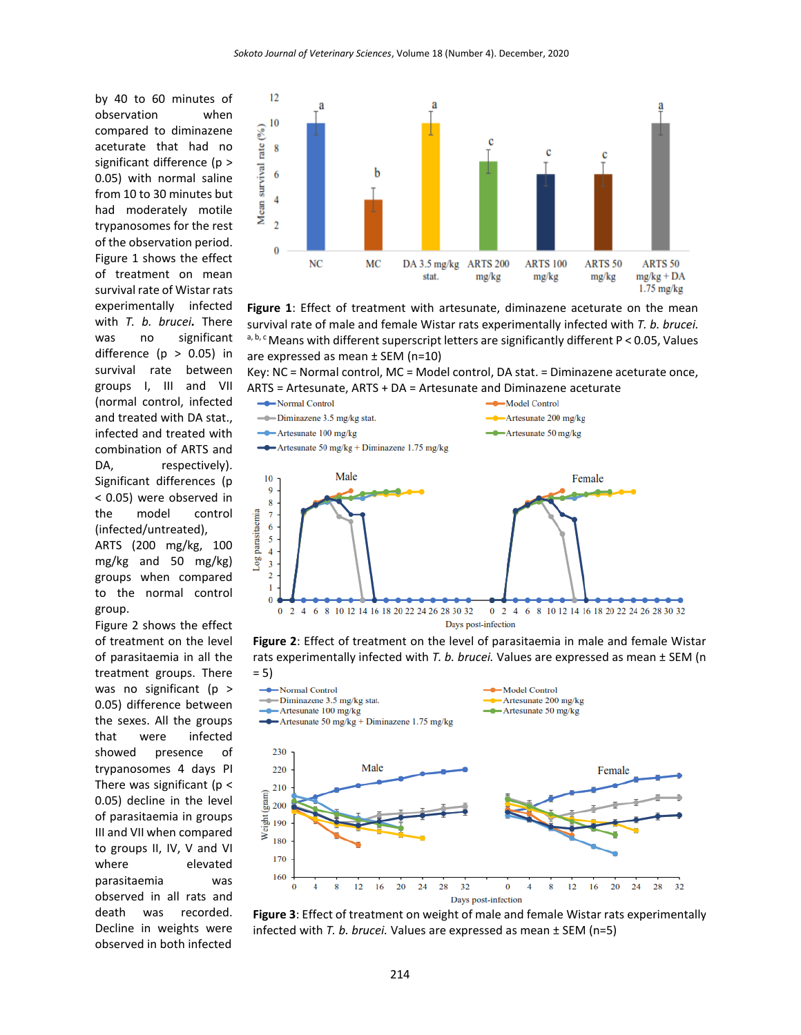by 40 to 60 minutes of observation when compared to diminazene aceturate that had no significant difference (p > 0.05) with normal saline from 10 to 30 minutes but had moderately motile trypanosomes for the rest of the observation period. Figure 1 shows the effect of treatment on mean survival rate of Wistar rats experimentally infected with *T. b. brucei.* There was no significant difference ( $p > 0.05$ ) in survival rate between groups I, III and VII (normal control, infected and treated with DA stat., infected and treated with combination of ARTS and DA, respectively). Significant differences (p < 0.05) were observed in the model control (infected/untreated), ARTS (200 mg/kg, 100 mg/kg and 50 mg/kg) groups when compared to the normal control group.

Figure 2 shows the effect of treatment on the level of parasitaemia in all the treatment groups. There was no significant (p > 0.05) difference between the sexes. All the groups that were infected showed presence of trypanosomes 4 days PI There was significant ( $p <$ 0.05) decline in the level of parasitaemia in groups III and VII when compared to groups II, IV, V and VI where elevated parasitaemia was observed in all rats and death was recorded. Decline in weights were observed in both infected



Figure 1: Effect of treatment with artesunate, diminazene aceturate on the mean survival rate of male and female Wistar rats experimentally infected with *T. b. brucei.*  $a, b, c$  Means with different superscript letters are significantly different P < 0.05, Values are expressed as mean ± SEM (n=10)

Key: NC = Normal control, MC = Model control, DA stat. = Diminazene aceturate once, ARTS = Artesunate, ARTS + DA = Artesunate and Diminazene aceturate



**Figure 2**: Effect of treatment on the level of parasitaemia in male and female Wistar rats experimentally infected with *T. b. brucei.* Values are expressed as mean ± SEM (n



**Figure 3**: Effect of treatment on weight of male and female Wistar rats experimentally infected with *T. b. brucei.* Values are expressed as mean ± SEM (n=5)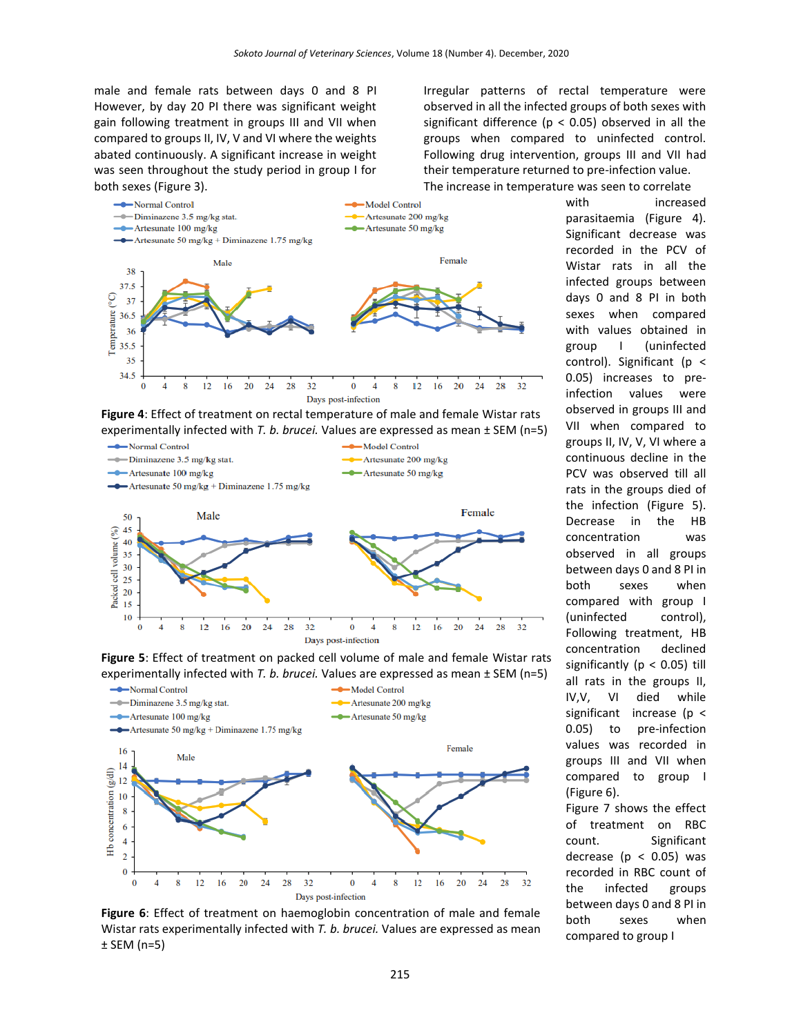male and female rats between days 0 and 8 PI However, by day 20 PI there was significant weight gain following treatment in groups III and VII when compared to groups II, IV, V and VI where the weights abated continuously. A significant increase in weight was seen throughout the study period in group I for both sexes (Figure 3).







**Figure 5**: Effect of treatment on packed cell volume of male and female Wistar rats experimentally infected with *T. b. brucei.* Values are expressed as mean ± SEM (n=5)



**Figure 6**: Effect of treatment on haemoglobin concentration of male and female Wistar rats experimentally infected with *T. b. brucei.* Values are expressed as mean ± SEM (n=5)

Irregular patterns of rectal temperature were observed in all the infected groups of both sexes with significant difference ( $p < 0.05$ ) observed in all the groups when compared to uninfected control. Following drug intervention, groups III and VII had their temperature returned to pre-infection value.

The increase in temperature was seen to correlate

with increased parasitaemia (Figure 4). Significant decrease was recorded in the PCV of Wistar rats in all the infected groups between days 0 and 8 PI in both sexes when compared with values obtained in group I (uninfected control). Significant ( $p <$ 0.05) increases to preinfection values were observed in groups III and VII when compared to groups II, IV, V, VI where a continuous decline in the PCV was observed till all rats in the groups died of the infection (Figure 5). Decrease in the HB concentration was observed in all groups between days 0 and 8 PI in both sexes when compared with group I (uninfected control), Following treatment, HB concentration declined significantly ( $p < 0.05$ ) till all rats in the groups II, IV,V, VI died while significant increase (p < 0.05) to pre-infection values was recorded in groups III and VII when compared to group I (Figure 6). Figure 7 shows the effect

of treatment on RBC count. Significant decrease ( $p < 0.05$ ) was recorded in RBC count of the infected groups between days 0 and 8 PI in both sexes when compared to group I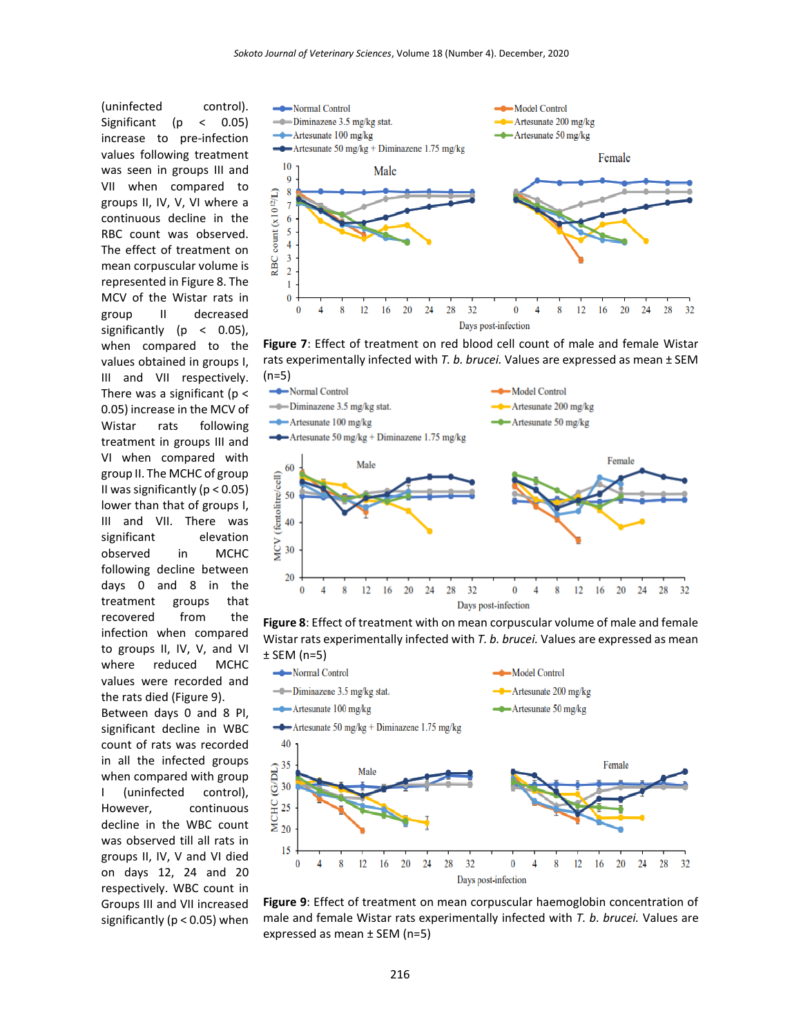(uninfected control). Significant (p < 0.05) increase to pre-infection values following treatment was seen in groups III and VII when compared to groups II, IV, V, VI where a continuous decline in the RBC count was observed. The effect of treatment on mean corpuscular volume is represented in Figure 8. The MCV of the Wistar rats in group II decreased significantly (p < 0.05), when compared to the values obtained in groups I, III and VII respectively. There was a significant ( $p <$ 0.05) increase in the MCV of Wistar rats following treatment in groups III and VI when compared with group II. The MCHC of group II was significantly ( $p < 0.05$ ) lower than that of groups I, III and VII. There was significant elevation observed in MCHC following decline between days 0 and 8 in the treatment groups that recovered from the infection when compared to groups II, IV, V, and VI where reduced MCHC values were recorded and the rats died (Figure 9).

Between days 0 and 8 PI, significant decline in WBC count of rats was recorded in all the infected groups when compared with group I (uninfected control), However, continuous decline in the WBC count was observed till all rats in groups II, IV, V and VI died on days 12, 24 and 20 respectively. WBC count in Groups III and VII increased significantly (p < 0.05) when



**Figure 7**: Effect of treatment on red blood cell count of male and female Wistar rats experimentally infected with *T. b. brucei.* Values are expressed as mean ± SEM (n=5)



**Figure 8**: Effect of treatment with on mean corpuscular volume of male and female Wistar rats experimentally infected with *T. b. brucei.* Values are expressed as mean



**Figure 9**: Effect of treatment on mean corpuscular haemoglobin concentration of male and female Wistar rats experimentally infected with *T. b. brucei.* Values are expressed as mean ± SEM (n=5)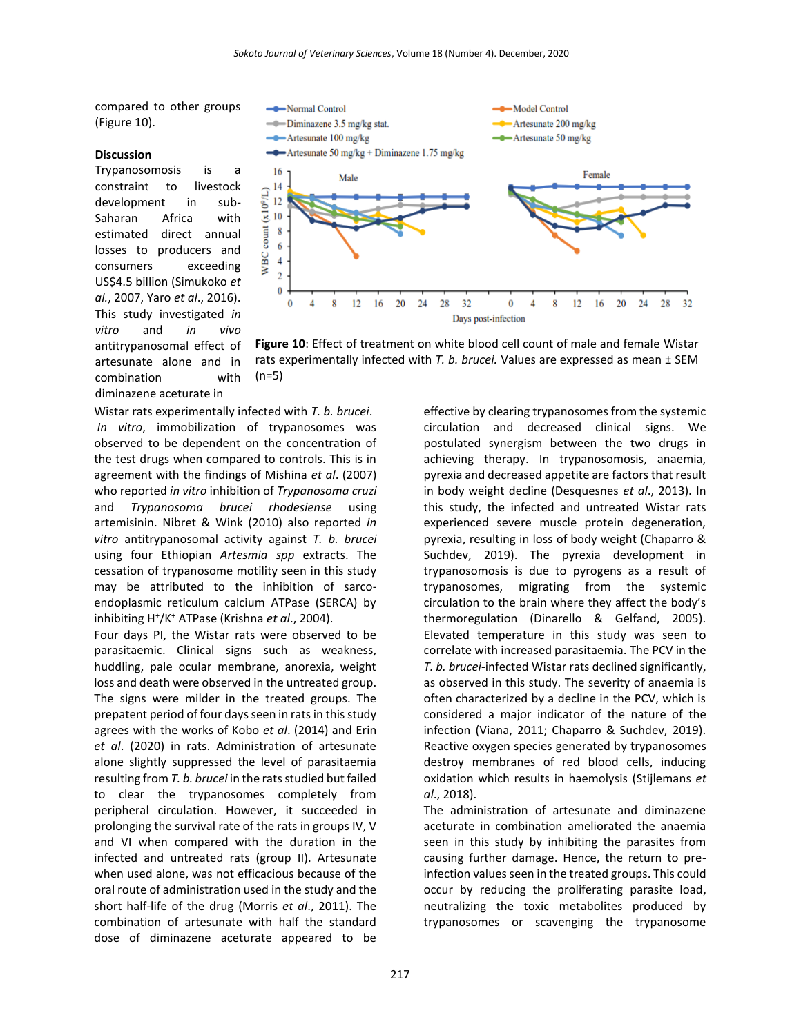compared to other groups (Figure 10).

#### **Discussion**

Trypanosomosis is a constraint to livestock development in sub-Saharan Africa with estimated direct annual losses to producers and consumers exceeding US\$4.5 billion (Simukoko *et al.*, 2007, Yaro *et al*., 2016). This study investigated *in vitro* and *in vivo* antitrypanosomal effect of artesunate alone and in combination with diminazene aceturate in



**Figure 10**: Effect of treatment on white blood cell count of male and female Wistar rats experimentally infected with *T. b. brucei.* Values are expressed as mean ± SEM (n=5)

Wistar rats experimentally infected with *T. b. brucei*. *In vitro*, immobilization of trypanosomes was observed to be dependent on the concentration of the test drugs when compared to controls. This is in agreement with the findings of Mishina *et al*. (2007) who reported *in vitro* inhibition of *Trypanosoma cruzi* and *Trypanosoma brucei rhodesiense* using artemisinin. Nibret & Wink (2010) also reported *in vitro* antitrypanosomal activity against *T. b. brucei* using four Ethiopian *Artesmia spp* extracts. The cessation of trypanosome motility seen in this study may be attributed to the inhibition of sarcoendoplasmic reticulum calcium ATPase (SERCA) by inhibiting H<sup>+</sup> /K<sup>+</sup> ATPase (Krishna *et al*., 2004).

Four days PI, the Wistar rats were observed to be parasitaemic. Clinical signs such as weakness, huddling, pale ocular membrane, anorexia, weight loss and death were observed in the untreated group. The signs were milder in the treated groups. The prepatent period of four days seen in rats in this study agrees with the works of Kobo *et al*. (2014) and Erin *et al*. (2020) in rats. Administration of artesunate alone slightly suppressed the level of parasitaemia resulting from *T. b. brucei* in the rats studied but failed to clear the trypanosomes completely from peripheral circulation. However, it succeeded in prolonging the survival rate of the rats in groups IV, V and VI when compared with the duration in the infected and untreated rats (group II). Artesunate when used alone, was not efficacious because of the oral route of administration used in the study and the short half-life of the drug (Morris *et al*., 2011). The combination of artesunate with half the standard dose of diminazene aceturate appeared to be

effective by clearing trypanosomes from the systemic circulation and decreased clinical signs. We postulated synergism between the two drugs in achieving therapy. In trypanosomosis, anaemia, pyrexia and decreased appetite are factors that result in body weight decline (Desquesnes *et al*., 2013). In this study, the infected and untreated Wistar rats experienced severe muscle protein degeneration, pyrexia, resulting in loss of body weight (Chaparro & Suchdev, 2019). The pyrexia development in trypanosomosis is due to pyrogens as a result of trypanosomes, migrating from the systemic circulation to the brain where they affect the body's thermoregulation (Dinarello & Gelfand, 2005). Elevated temperature in this study was seen to correlate with increased parasitaemia. The PCV in the *T. b. brucei*-infected Wistar rats declined significantly, as observed in this study. The severity of anaemia is often characterized by a decline in the PCV, which is considered a major indicator of the nature of the infection (Viana, 2011; Chaparro & Suchdev, 2019). Reactive oxygen species generated by trypanosomes destroy membranes of red blood cells, inducing oxidation which results in haemolysis (Stijlemans *et al*., 2018).

The administration of artesunate and diminazene aceturate in combination ameliorated the anaemia seen in this study by inhibiting the parasites from causing further damage. Hence, the return to preinfection values seen in the treated groups. This could occur by reducing the proliferating parasite load, neutralizing the toxic metabolites produced by trypanosomes or scavenging the trypanosome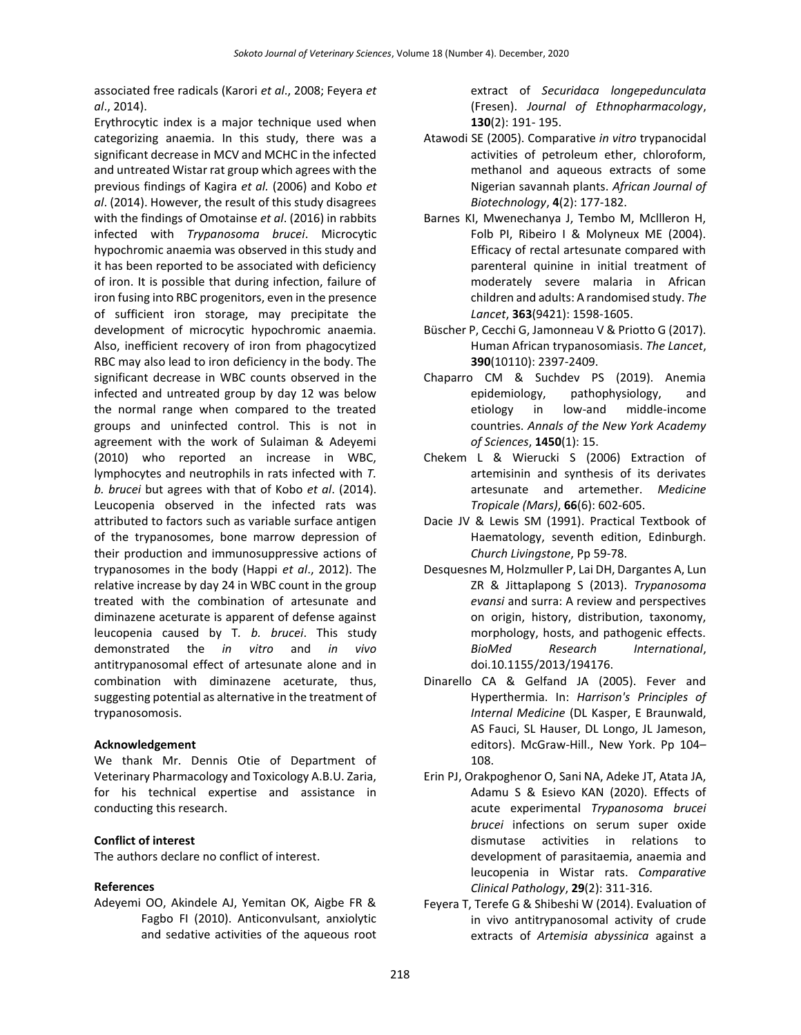associated free radicals (Karori *et al*., 2008; Feyera *et al*., 2014).

Erythrocytic index is a major technique used when categorizing anaemia. In this study, there was a significant decrease in MCV and MCHC in the infected and untreated Wistar rat group which agrees with the previous findings of Kagira *et al.* (2006) and Kobo *et al*. (2014). However, the result of this study disagrees with the findings of Omotainse *et al*. (2016) in rabbits infected with *Trypanosoma brucei*. Microcytic hypochromic anaemia was observed in this study and it has been reported to be associated with deficiency of iron. It is possible that during infection, failure of iron fusing into RBC progenitors, even in the presence of sufficient iron storage, may precipitate the development of microcytic hypochromic anaemia. Also, inefficient recovery of iron from phagocytized RBC may also lead to iron deficiency in the body. The significant decrease in WBC counts observed in the infected and untreated group by day 12 was below the normal range when compared to the treated groups and uninfected control. This is not in agreement with the work of Sulaiman & Adeyemi (2010) who reported an increase in WBC, lymphocytes and neutrophils in rats infected with *T. b. brucei* but agrees with that of Kobo *et al*. (2014). Leucopenia observed in the infected rats was attributed to factors such as variable surface antigen of the trypanosomes, bone marrow depression of their production and immunosuppressive actions of trypanosomes in the body (Happi *et al*., 2012). The relative increase by day 24 in WBC count in the group treated with the combination of artesunate and diminazene aceturate is apparent of defense against leucopenia caused by T*. b. brucei*. This study demonstrated the *in vitro* and *in vivo* antitrypanosomal effect of artesunate alone and in combination with diminazene aceturate, thus, suggesting potential as alternative in the treatment of trypanosomosis.

## **Acknowledgement**

We thank Mr. Dennis Otie of Department of Veterinary Pharmacology and Toxicology A.B.U. Zaria, for his technical expertise and assistance in conducting this research.

## **Conflict of interest**

The authors declare no conflict of interest.

#### **References**

Adeyemi OO, Akindele AJ, Yemitan OK, Aigbe FR & Fagbo FI (2010). Anticonvulsant, anxiolytic and sedative activities of the aqueous root extract of *Securidaca longepedunculata* (Fresen). *Journal of Ethnopharmacology*, **130**(2): 191- 195.

- Atawodi SE (2005). Comparative *in vitro* trypanocidal activities of petroleum ether, chloroform, methanol and aqueous extracts of some Nigerian savannah plants. *African Journal of Biotechnology*, **4**(2): 177-182.
- Barnes KI, Mwenechanya J, Tembo M, Mcllleron H, Folb PI, Ribeiro I & Molyneux ME (2004). Efficacy of rectal artesunate compared with parenteral quinine in initial treatment of moderately severe malaria in African children and adults: A randomised study. *The Lancet*, **363**(9421): 1598-1605.
- Büscher P, Cecchi G, Jamonneau V & Priotto G (2017). Human African trypanosomiasis. *The Lancet*, **390**(10110): 2397-2409.
- Chaparro CM & Suchdev PS (2019). Anemia epidemiology, pathophysiology, and etiology in low-and middle-income countries. *Annals of the New York Academy of Sciences*, **1450**(1): 15.
- Chekem L & Wierucki S (2006) Extraction of artemisinin and synthesis of its derivates artesunate and artemether. *Medicine Tropicale (Mars)*, **66**(6): 602-605.
- Dacie JV & Lewis SM (1991). Practical Textbook of Haematology, seventh edition, Edinburgh. *Church Livingstone*, Pp 59-78.
- Desquesnes M, Holzmuller P, Lai DH, Dargantes A, Lun ZR & Jittaplapong S (2013). *Trypanosoma evansi* and surra: A review and perspectives on origin, history, distribution, taxonomy, morphology, hosts, and pathogenic effects. *BioMed Research International*, doi.10.1155/2013/194176.
- Dinarello CA & Gelfand JA (2005). Fever and Hyperthermia. In: *Harrison's Principles of Internal Medicine* (DL Kasper, E Braunwald, AS Fauci, SL Hauser, DL Longo, JL Jameson, editors). McGraw-Hill., New York. Pp 104– 108.
- Erin PJ, Orakpoghenor O, Sani NA, Adeke JT, Atata JA, Adamu S & Esievo KAN (2020). Effects of acute experimental *Trypanosoma brucei brucei* infections on serum super oxide dismutase activities in relations to development of parasitaemia, anaemia and leucopenia in Wistar rats. *Comparative Clinical Pathology*, **29**(2): 311-316.
- Feyera T, Terefe G & Shibeshi W (2014). Evaluation of in vivo antitrypanosomal activity of crude extracts of *Artemisia abyssinica* against a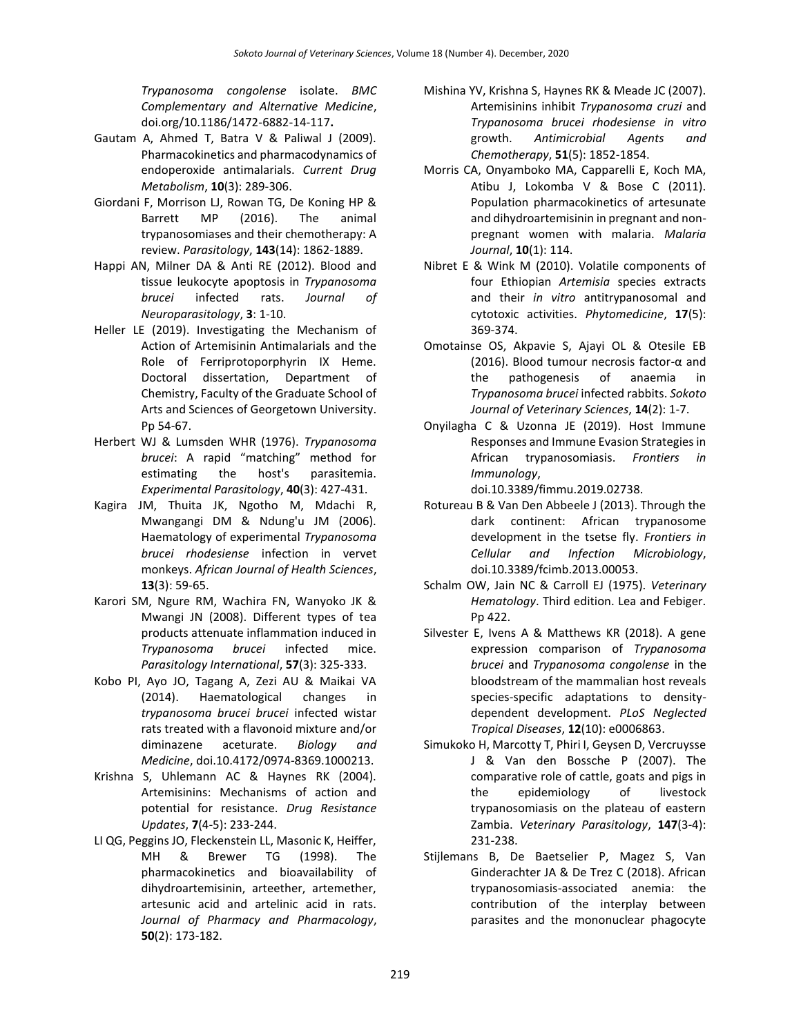*Trypanosoma congolense* isolate. *BMC Complementary and Alternative Medicine*, doi.org/10.1186/1472-6882-14-117**.**

- Gautam A, Ahmed T, Batra V & Paliwal J (2009). Pharmacokinetics and pharmacodynamics of endoperoxide antimalarials. *Current Drug Metabolism*, **10**(3): 289-306.
- Giordani F, Morrison LJ, Rowan TG, De Koning HP & Barrett MP (2016). The animal trypanosomiases and their chemotherapy: A review. *Parasitology*, **143**(14): 1862-1889.
- Happi AN, Milner DA & Anti RE (2012). Blood and tissue leukocyte apoptosis in *Trypanosoma brucei* infected rats. *Journal of Neuroparasitology*, **3**: 1-10.
- Heller LE (2019). Investigating the Mechanism of Action of Artemisinin Antimalarials and the Role of Ferriprotoporphyrin IX Heme. Doctoral dissertation, Department of Chemistry, Faculty of the Graduate School of Arts and Sciences of Georgetown University. Pp 54-67.
- Herbert WJ & Lumsden WHR (1976). *Trypanosoma brucei*: A rapid "matching" method for estimating the host's parasitemia. *Experimental Parasitology*, **40**(3): 427-431.
- Kagira JM, Thuita JK, Ngotho M, Mdachi R, Mwangangi DM & Ndung'u JM (2006). Haematology of experimental *Trypanosoma brucei rhodesiense* infection in vervet monkeys. *African Journal of Health Sciences*, **13**(3): 59-65.
- Karori SM, Ngure RM, Wachira FN, Wanyoko JK & Mwangi JN (2008). Different types of tea products attenuate inflammation induced in *Trypanosoma brucei* infected mice. *Parasitology International*, **57**(3): 325-333.
- Kobo PI, Ayo JO, Tagang A, Zezi AU & Maikai VA (2014). Haematological changes in *trypanosoma brucei brucei* infected wistar rats treated with a flavonoid mixture and/or diminazene aceturate. *Biology and Medicine*, doi.10.4172/0974-8369.1000213.
- Krishna S, Uhlemann AC & Haynes RK (2004). Artemisinins: Mechanisms of action and potential for resistance. *Drug Resistance Updates*, **7**(4-5): 233-244.
- LI QG, Peggins JO, Fleckenstein LL, Masonic K, Heiffer, MH & Brewer TG (1998). The pharmacokinetics and bioavailability of dihydroartemisinin, arteether, artemether, artesunic acid and artelinic acid in rats. *Journal of Pharmacy and Pharmacology*, **50**(2): 173-182.
- Mishina YV, Krishna S, Haynes RK & Meade JC (2007). Artemisinins inhibit *Trypanosoma cruzi* and *Trypanosoma brucei rhodesiense in vitro* growth. *Antimicrobial Agents and Chemotherapy*, **51**(5): 1852-1854.
- Morris CA, Onyamboko MA, Capparelli E, Koch MA, Atibu J, Lokomba V & Bose C (2011). Population pharmacokinetics of artesunate and dihydroartemisinin in pregnant and nonpregnant women with malaria. *Malaria Journal*, **10**(1): 114.
- Nibret E & Wink M (2010). Volatile components of four Ethiopian *Artemisia* species extracts and their *in vitro* antitrypanosomal and cytotoxic activities. *Phytomedicine*, **17**(5): 369-374.
- Omotainse OS, Akpavie S, Ajayi OL & Otesile EB (2016). Blood tumour necrosis factor-α and the pathogenesis of anaemia in *Trypanosoma brucei* infected rabbits. *Sokoto Journal of Veterinary Sciences*, **14**(2): 1-7.
- Onyilagha C & Uzonna JE (2019). Host Immune Responses and Immune Evasion Strategies in African trypanosomiasis. *Frontiers in Immunology*,

doi.10.3389/fimmu.2019.02738.

- Rotureau B & Van Den Abbeele J (2013). Through the dark continent: African trypanosome development in the tsetse fly. *Frontiers in Cellular and Infection Microbiology*, doi.10.3389/fcimb.2013.00053.
- Schalm OW, Jain NC & Carroll EJ (1975). *Veterinary Hematology*. Third edition. Lea and Febiger. Pp 422.
- Silvester E, Ivens A & Matthews KR (2018). A gene expression comparison of *Trypanosoma brucei* and *Trypanosoma congolense* in the bloodstream of the mammalian host reveals species-specific adaptations to densitydependent development. *PLoS Neglected Tropical Diseases*, **12**(10): e0006863.
- Simukoko H, Marcotty T, Phiri I, Geysen D, Vercruysse J & Van den Bossche P (2007). The comparative role of cattle, goats and pigs in the epidemiology of livestock trypanosomiasis on the plateau of eastern Zambia. *Veterinary Parasitology*, **147**(3-4): 231-238.
- Stijlemans B, De Baetselier P, Magez S, Van Ginderachter JA & De Trez C (2018). African trypanosomiasis-associated anemia: the contribution of the interplay between parasites and the mononuclear phagocyte